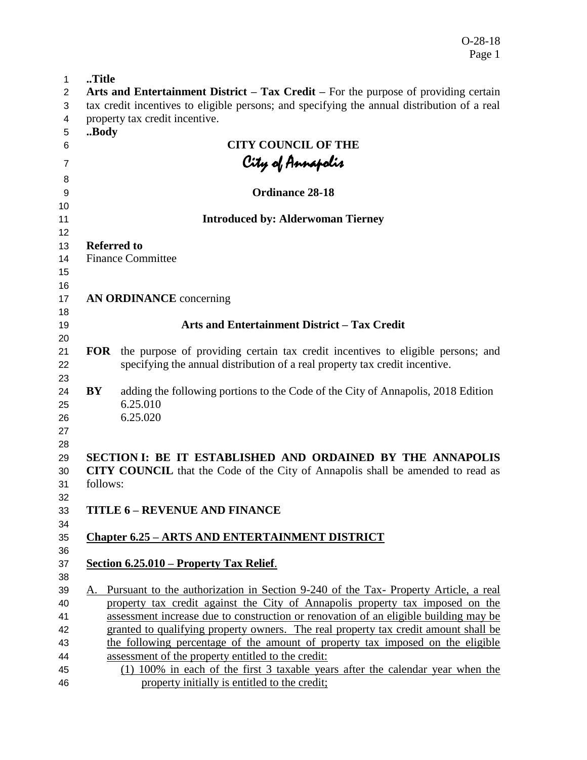O-28-18 Page 1

| 1        | Title    |                                                                                                                                                                       |
|----------|----------|-----------------------------------------------------------------------------------------------------------------------------------------------------------------------|
| 2        |          | Arts and Entertainment District – Tax Credit – For the purpose of providing certain                                                                                   |
| 3        |          | tax credit incentives to eligible persons; and specifying the annual distribution of a real                                                                           |
| 4        |          | property tax credit incentive.                                                                                                                                        |
| 5        | Body     |                                                                                                                                                                       |
| 6        |          | <b>CITY COUNCIL OF THE</b>                                                                                                                                            |
| 7        |          | City of Annapolis                                                                                                                                                     |
| 8        |          |                                                                                                                                                                       |
| 9        |          | Ordinance 28-18                                                                                                                                                       |
| 10       |          |                                                                                                                                                                       |
| 11       |          | <b>Introduced by: Alderwoman Tierney</b>                                                                                                                              |
| 12       |          |                                                                                                                                                                       |
| 13       |          | <b>Referred to</b>                                                                                                                                                    |
| 14       |          | <b>Finance Committee</b>                                                                                                                                              |
| 15       |          |                                                                                                                                                                       |
| 16       |          |                                                                                                                                                                       |
| 17       |          | <b>AN ORDINANCE</b> concerning                                                                                                                                        |
| 18       |          |                                                                                                                                                                       |
| 19       |          | <b>Arts and Entertainment District - Tax Credit</b>                                                                                                                   |
| 20       |          |                                                                                                                                                                       |
| 21       |          | <b>FOR</b> the purpose of providing certain tax credit incentives to eligible persons; and                                                                            |
| 22       |          | specifying the annual distribution of a real property tax credit incentive.                                                                                           |
| 23<br>24 | BY       | adding the following portions to the Code of the City of Annapolis, 2018 Edition                                                                                      |
| 25       |          | 6.25.010                                                                                                                                                              |
| 26       |          | 6.25.020                                                                                                                                                              |
| 27       |          |                                                                                                                                                                       |
| 28       |          |                                                                                                                                                                       |
| 29       |          | SECTION I: BE IT ESTABLISHED AND ORDAINED BY THE ANNAPOLIS                                                                                                            |
| 30       |          | <b>CITY COUNCIL</b> that the Code of the City of Annapolis shall be amended to read as                                                                                |
| 31       | follows: |                                                                                                                                                                       |
| 32       |          |                                                                                                                                                                       |
| 33       |          | <b>TITLE 6 - REVENUE AND FINANCE</b>                                                                                                                                  |
| 34       |          |                                                                                                                                                                       |
| 35       |          | <b>Chapter 6.25 - ARTS AND ENTERTAINMENT DISTRICT</b>                                                                                                                 |
| 36       |          |                                                                                                                                                                       |
| 37       |          | Section 6.25.010 – Property Tax Relief.                                                                                                                               |
| 38       |          |                                                                                                                                                                       |
| 39       | А.       | Pursuant to the authorization in Section 9-240 of the Tax- Property Article, a real                                                                                   |
| 40       |          | property tax credit against the City of Annapolis property tax imposed on the<br>assessment increase due to construction or renovation of an eligible building may be |
| 41       |          | granted to qualifying property owners. The real property tax credit amount shall be                                                                                   |
| 42<br>43 |          | the following percentage of the amount of property tax imposed on the eligible                                                                                        |
| 44       |          | assessment of the property entitled to the credit:                                                                                                                    |
| 45       |          | (1) 100% in each of the first 3 taxable years after the calendar year when the                                                                                        |
| 46       |          | property initially is entitled to the credit;                                                                                                                         |
|          |          |                                                                                                                                                                       |